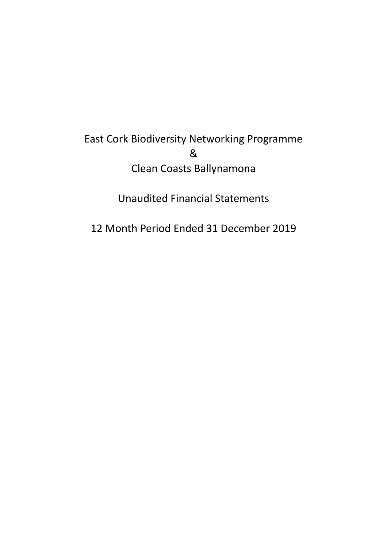# East Cork Biodiversity Networking Programme & Clean Coasts Ballynamona

Unaudited Financial Statements

12 Month Period Ended 31 December 2019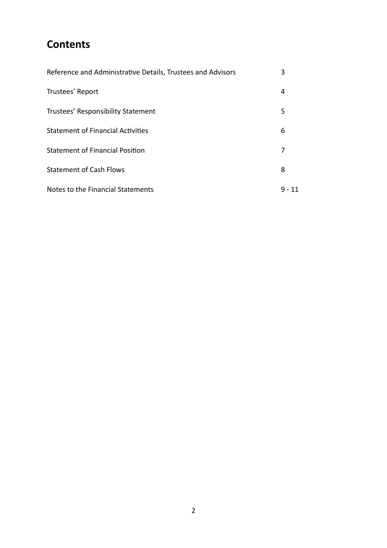# **Contents**

| Reference and Administrative Details, Trustees and Advisors | 3  |
|-------------------------------------------------------------|----|
| Trustees' Report                                            | 4  |
| Trustees' Responsibility Statement                          | 5  |
| <b>Statement of Financial Activities</b>                    | 6  |
| <b>Statement of Financial Position</b>                      | 7  |
| <b>Statement of Cash Flows</b>                              | 8  |
| Notes to the Financial Statements                           | 11 |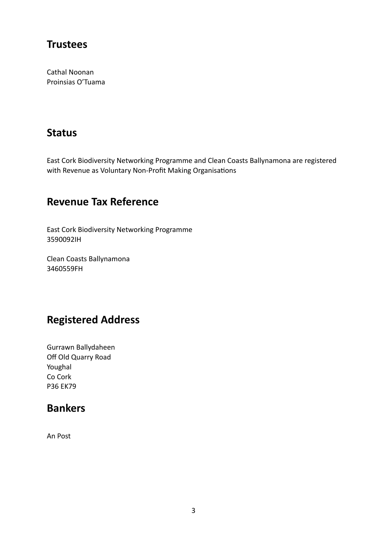### **Trustees**

Cathal Noonan Proinsias O'Tuama

### **Status**

East Cork Biodiversity Networking Programme and Clean Coasts Ballynamona are registered with Revenue as Voluntary Non-Profit Making Organisations

### **Revenue Tax Reference**

East Cork Biodiversity Networking Programme 3590092IH

Clean Coasts Ballynamona 3460559FH

# **Registered Address**

Gurrawn Ballydaheen Off Old Quarry Road Youghal Co Cork P36 EK79

## **Bankers**

An Post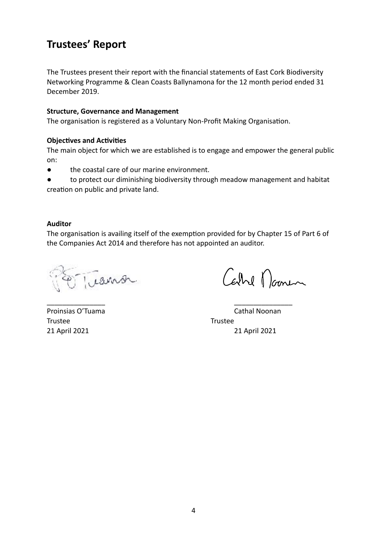## **Trustees' Report**

The Trustees present their report with the financial statements of East Cork Biodiversity Networking Programme & Clean Coasts Ballynamona for the 12 month period ended 31 December 2019.

#### **Structure, Governance and Management**

The organisation is registered as a Voluntary Non-Profit Making Organisation.

#### **Objectives and Activities**

The main object for which we are established is to engage and empower the general public on:

● the coastal care of our marine environment.

● to protect our diminishing biodiversity through meadow management and habitat creation on public and private land.

#### **Auditor**

The organisation is availing itself of the exemption provided for by Chapter 15 of Part 6 of the Companies Act 2014 and therefore has not appointed an auditor.

\_\_\_\_\_\_\_\_\_\_\_\_\_\_\_ \_\_\_\_\_\_\_\_\_\_\_\_\_\_\_

Trans

Carre Domin

Trustee Trustee

Proinsias O'Tuama Cathal Noonan 21 April 2021 21 April 2021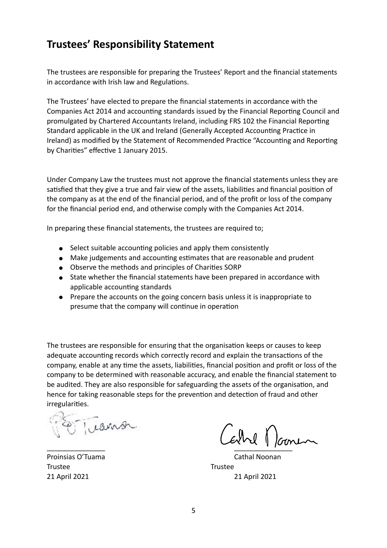## **Trustees' Responsibility Statement**

The trustees are responsible for preparing the Trustees' Report and the financial statements in accordance with Irish law and Regulations.

The Trustees' have elected to prepare the financial statements in accordance with the Companies Act 2014 and accounting standards issued by the Financial Reporting Council and promulgated by Chartered Accountants Ireland, including FRS 102 the Financial Reporting Standard applicable in the UK and Ireland (Generally Accepted Accounting Practice in Ireland) as modified by the Statement of Recommended Practice "Accounting and Reporting by Charities" effective 1 January 2015.

Under Company Law the trustees must not approve the financial statements unless they are satisfied that they give a true and fair view of the assets, liabilities and financial position of the company as at the end of the financial period, and of the profit or loss of the company for the financial period end, and otherwise comply with the Companies Act 2014.

In preparing these financial statements, the trustees are required to;

- Select suitable accounting policies and apply them consistently
- Make judgements and accounting estimates that are reasonable and prudent
- Observe the methods and principles of Charities SORP
- State whether the financial statements have been prepared in accordance with applicable accounting standards
- Prepare the accounts on the going concern basis unless it is inappropriate to presume that the company will continue in operation

The trustees are responsible for ensuring that the organisation keeps or causes to keep adequate accounting records which correctly record and explain the transactions of the company, enable at any time the assets, liabilities, financial position and profit or loss of the company to be determined with reasonable accuracy, and enable the financial statement to be audited. They are also responsible for safeguarding the assets of the organisation, and hence for taking reasonable steps for the prevention and detection of fraud and other irregularities.

Trustee Trustee

\_\_\_\_\_\_\_\_\_\_\_\_\_\_\_ \_\_\_\_\_\_\_\_\_\_\_\_\_\_\_

Proinsias O'Tuama Cathal Noonan Cathal Noonan Cathal Noonan Cathal Noonan 21 April 2021 21 April 2021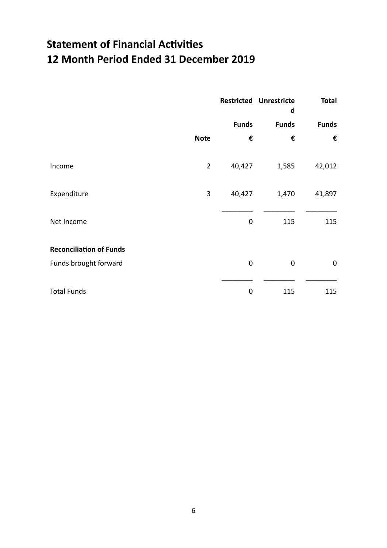# **Statement of Financial Activities 12 Month Period Ended 31 December 2019**

|                                |                | <b>Restricted Unrestricte</b><br>d | <b>Total</b> |              |
|--------------------------------|----------------|------------------------------------|--------------|--------------|
|                                |                | <b>Funds</b>                       | <b>Funds</b> | <b>Funds</b> |
|                                | <b>Note</b>    | €                                  | €            | €            |
| Income                         | $\overline{2}$ | 40,427                             | 1,585        | 42,012       |
| Expenditure                    | 3              | 40,427                             | 1,470        | 41,897       |
| Net Income                     |                | 0                                  | 115          | 115          |
| <b>Reconciliation of Funds</b> |                |                                    |              |              |
| Funds brought forward          |                | 0                                  | $\mathbf 0$  | $\mathbf 0$  |
| <b>Total Funds</b>             |                | 0                                  | 115          | 115          |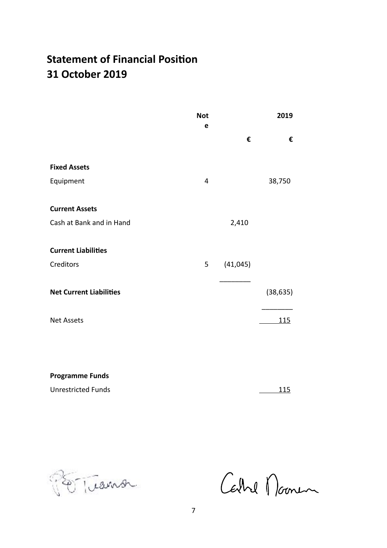# **Statement of Financial Position 31 October 2019**

|                                | <b>Not</b><br>e |           | 2019       |
|--------------------------------|-----------------|-----------|------------|
|                                |                 | €         | €          |
| <b>Fixed Assets</b>            |                 |           |            |
| Equipment                      | $\overline{4}$  |           | 38,750     |
| <b>Current Assets</b>          |                 |           |            |
| Cash at Bank and in Hand       |                 | 2,410     |            |
| <b>Current Liabilities</b>     |                 |           |            |
| Creditors                      | 5               | (41, 045) |            |
| <b>Net Current Liabilities</b> |                 |           | (38, 635)  |
| <b>Net Assets</b>              |                 |           | <u>115</u> |
|                                |                 |           |            |
|                                |                 |           |            |

**Programme Funds**

Unrestricted Funds 115

Portuanor

Cathel Noonen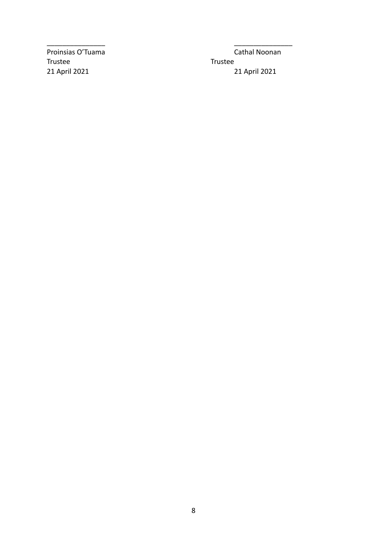Trustee Trustee

Proinsias O'Tuama Cathal Noonan 21 April 2021 21 April 2021

\_\_\_\_\_\_\_\_\_\_\_\_\_\_\_ \_\_\_\_\_\_\_\_\_\_\_\_\_\_\_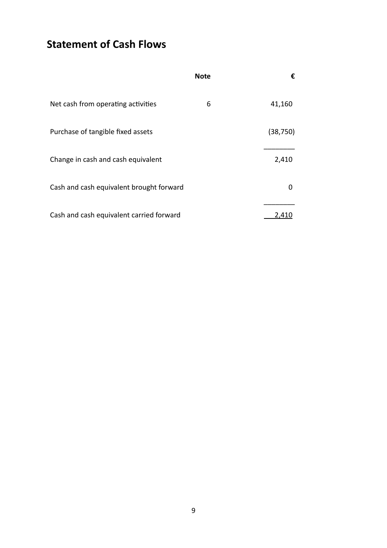**Statement of Cash Flows**

|                                          | <b>Note</b> | €         |
|------------------------------------------|-------------|-----------|
| Net cash from operating activities       | 6           | 41,160    |
| Purchase of tangible fixed assets        |             | (38, 750) |
| Change in cash and cash equivalent       |             | 2,410     |
| Cash and cash equivalent brought forward |             | O         |
| Cash and cash equivalent carried forward |             | 2.410     |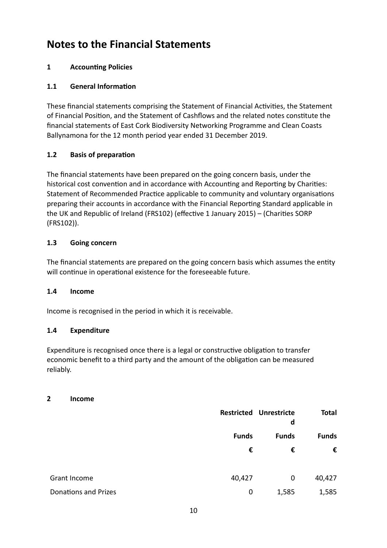# **Notes to the Financial Statements**

### **1** Accounting Policies

### **1.1 General Information**

These financial statements comprising the Statement of Financial Activities, the Statement of Financial Position, and the Statement of Cashflows and the related notes constitute the financial statements of East Cork Biodiversity Networking Programme and Clean Coasts Ballynamona for the 12 month period year ended 31 December 2019.

### **1.2 Basis of preparation**

The financial statements have been prepared on the going concern basis, under the historical cost convention and in accordance with Accounting and Reporting by Charities: Statement of Recommended Practice applicable to community and voluntary organisations preparing their accounts in accordance with the Financial Reporting Standard applicable in the UK and Republic of Ireland (FRS102) (effective 1 January 2015) – (Charities SORP (FRS102)).

### **1.3 Going concern**

The financial statements are prepared on the going concern basis which assumes the entity will continue in operational existence for the foreseeable future.

### **1.4 Income**

Income is recognised in the period in which it is receivable.

### **1.4 Expenditure**

Expenditure is recognised once there is a legal or constructive obligation to transfer economic benefit to a third party and the amount of the obligation can be measured reliably.

#### **2 Income**

|                             |              | <b>Restricted Unrestricte</b><br>d | <b>Total</b> |
|-----------------------------|--------------|------------------------------------|--------------|
|                             | <b>Funds</b> | <b>Funds</b>                       | <b>Funds</b> |
|                             | €            | €                                  | €            |
|                             |              |                                    |              |
| Grant Income                | 40,427       | 0                                  | 40,427       |
| <b>Donations and Prizes</b> | 0            | 1,585                              | 1,585        |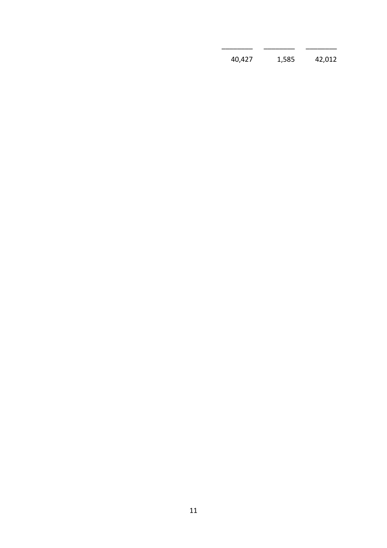| 40,427 | 1,585 | 42,012 |
|--------|-------|--------|
|        |       |        |

\_\_\_\_\_\_\_\_ \_\_\_\_\_\_\_\_ \_\_\_\_\_\_\_\_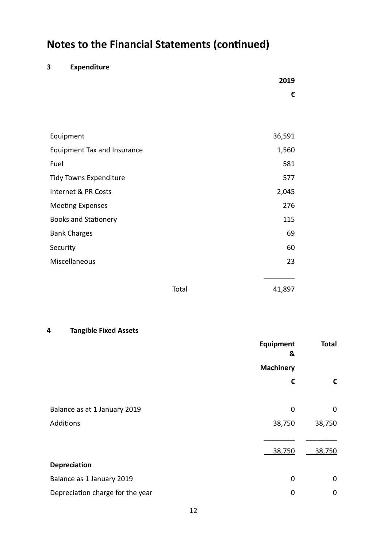# **Notes to the Financial Statements (continued)**

### **3 Expenditure**

|                                    |       | 2019   |
|------------------------------------|-------|--------|
|                                    |       | €      |
|                                    |       |        |
|                                    |       |        |
| Equipment                          |       | 36,591 |
| <b>Equipment Tax and Insurance</b> |       | 1,560  |
| Fuel                               |       | 581    |
| <b>Tidy Towns Expenditure</b>      |       | 577    |
| Internet & PR Costs                |       | 2,045  |
| <b>Meeting Expenses</b>            |       | 276    |
| <b>Books and Stationery</b>        |       | 115    |
| <b>Bank Charges</b>                |       | 69     |
| Security                           |       | 60     |
| Miscellaneous                      |       | 23     |
|                                    |       |        |
|                                    | Total | 41,897 |

#### **4 Tangible Fixed Assets**

|                                  | <b>Equipment</b><br><b>Total</b><br>& |        |
|----------------------------------|---------------------------------------|--------|
|                                  | <b>Machinery</b>                      |        |
|                                  | €                                     | €      |
|                                  |                                       |        |
| Balance as at 1 January 2019     | 0                                     | 0      |
| Additions                        | 38,750                                | 38,750 |
|                                  |                                       |        |
|                                  | 38,750                                | 38,750 |
| <b>Depreciation</b>              |                                       |        |
| Balance as 1 January 2019        | 0                                     | 0      |
| Depreciation charge for the year | 0                                     | 0      |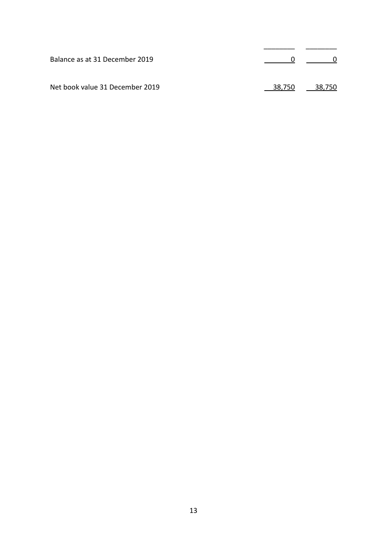| Balance as at 31 December 2019  | $\sim$ 0      |
|---------------------------------|---------------|
| Net book value 31 December 2019 | 38.750 38.750 |

\_\_\_\_\_\_\_\_ \_\_\_\_\_\_\_\_